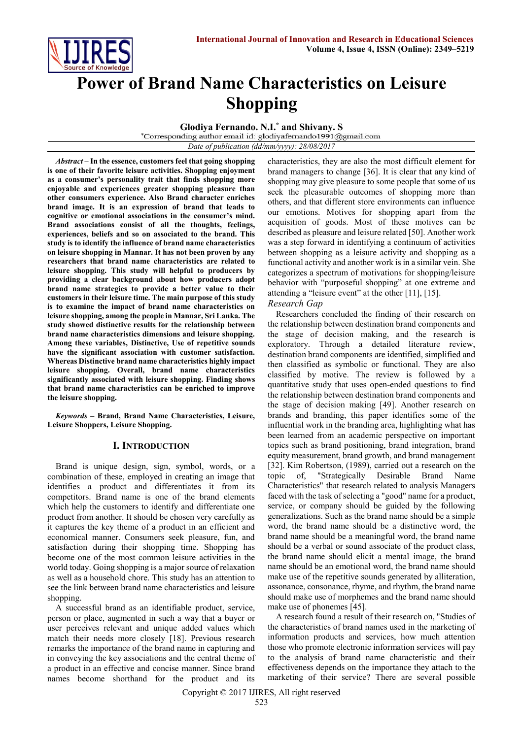

# **Power of Brand Name Characteristics on Leisure Shopping**

**Glodiya Fernando. N.I. \* and Shivany. S**

*Date of publication (dd/mm/yyyy): 28/08/2017*

*Abstract* **– In the essence, customers feel that going shopping is one of their favorite leisure activities. Shopping enjoyment as a consumer's personality trait that finds shopping more enjoyable and experiences greater shopping pleasure than other consumers experience. Also Brand character enriches brand image. It is an expression of brand that leads to cognitive or emotional associations in the consumer's mind. Brand associations consist of all the thoughts, feelings, experiences, beliefs and so on associated to the brand. This study is to identify the influence of brand name characteristics on leisure shopping in Mannar. It has not been proven by any researchers that brand name characteristics are related to leisure shopping. This study will helpful to producers by providing a clear background about how producers adopt brand name strategies to provide a better value to their customers in their leisure time. The main purpose of this study is to examine the impact of brand name characteristics on leisure shopping, among the people in Mannar, Sri Lanka. The study showed distinctive results for the relationship between brand name characteristics dimensions and leisure shopping. Among these variables, Distinctive, Use of repetitive sounds have the significant association with customer satisfaction. Whereas Distinctive brand name characteristics highly impact leisure shopping. Overall, brand name characteristics significantly associated with leisure shopping. Finding shows that brand name characteristics can be enriched to improve the leisure shopping.**

*Keywords* **– Brand, Brand Name Characteristics, Leisure, Leisure Shoppers, Leisure Shopping.**

# **I. INTRODUCTION**

Brand is unique design, sign, symbol, words, or a combination of these, employed in creating an image that identifies a product and differentiates it from its competitors. Brand name is one of the brand elements which help the customers to identify and differentiate one product from another. It should be chosen very carefully as it captures the key theme of a product in an efficient and economical manner. Consumers seek pleasure, fun, and satisfaction during their shopping time. Shopping has become one of the most common leisure activities in the world today. Going shopping is a major source of relaxation as well as a household chore. This study has an attention to see the link between brand name characteristics and leisure shopping.

A successful brand as an identifiable product, service, person or place, augmented in such a way that a buyer or user perceives relevant and unique added values which match their needs more closely [18]. Previous research remarks the importance of the brand name in capturing and in conveying the key associations and the central theme of a product in an effective and concise manner. Since brand names become shorthand for the product and its characteristics, they are also the most difficult element for brand managers to change [36]. It is clear that any kind of shopping may give pleasure to some people that some of us seek the pleasurable outcomes of shopping more than others, and that different store environments can influence our emotions. Motives for shopping apart from the acquisition of goods. Most of these motives can be described as pleasure and leisure related [50]. Another work was a step forward in identifying a continuum of activities between shopping as a leisure activity and shopping as a functional activity and another work is in a similar vein. She categorizes a spectrum of motivations for shopping/leisure behavior with "purposeful shopping" at one extreme and attending a "leisure event" at the other [11], [15].

# *Research Gap*

Researchers concluded the finding of their research on the relationship between destination brand components and the stage of decision making, and the research is exploratory. Through a detailed literature review, destination brand components are identified, simplified and then classified as symbolic or functional. They are also classified by motive. The review is followed by a quantitative study that uses open-ended questions to find the relationship between destination brand components and the stage of decision making [49]. Another research on brands and branding, this paper identifies some of the influential work in the branding area, highlighting what has been learned from an academic perspective on important topics such as brand positioning, brand integration, brand equity measurement, brand growth, and brand management [32]. Kim Robertson, (1989), carried out a research on the topic of, "Strategically Desirable Brand Name Characteristics" that research related to analysis Managers faced with the task of selecting a "good" name for a product, service, or company should be guided by the following generalizations. Such as the brand name should be a simple word, the brand name should be a distinctive word, the brand name should be a meaningful word, the brand name should be a verbal or sound associate of the product class, the brand name should elicit a mental image, the brand name should be an emotional word, the brand name should make use of the repetitive sounds generated by alliteration, assonance, consonance, rhyme, and rhythm, the brand name should make use of morphemes and the brand name should make use of phonemes [45].

A research found a result of their research on, "Studies of the characteristics of brand names used in the marketing of information products and services, how much attention those who promote electronic information services will pay to the analysis of brand name characteristic and their effectiveness depends on the importance they attach to the marketing of their service? There are several possible

Copyright © 2017 IJIRES, All right reserved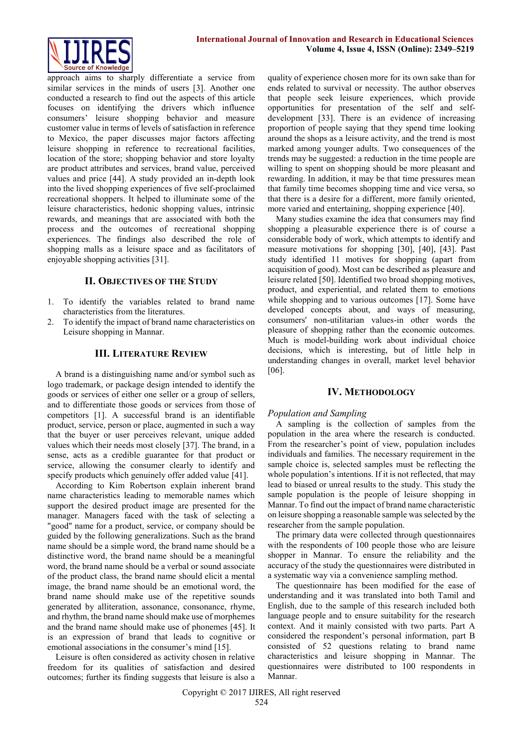

approach aims to sharply differentiate a service from similar services in the minds of users [3]. Another one conducted a research to find out the aspects of this article focuses on identifying the drivers which influence consumers' leisure shopping behavior and measure customer value in terms of levels of satisfaction in reference to Mexico, the paper discusses major factors affecting leisure shopping in reference to recreational facilities, location of the store; shopping behavior and store loyalty are product attributes and services, brand value, perceived values and price [44]. A study provided an in-depth look into the lived shopping experiences of five self-proclaimed recreational shoppers. It helped to illuminate some of the leisure characteristics, hedonic shopping values, intrinsic rewards, and meanings that are associated with both the process and the outcomes of recreational shopping experiences. The findings also described the role of shopping malls as a leisure space and as facilitators of enjoyable shopping activities [31].

# **II. OBJECTIVES OF THE STUDY**

- 1. To identify the variables related to brand name characteristics from the literatures.
- 2. To identify the impact of brand name characteristics on Leisure shopping in Mannar.

# **III. LITERATURE REVIEW**

A brand is a distinguishing name and/or symbol such as logo trademark, or package design intended to identify the goods or services of either one seller or a group of sellers, and to differentiate those goods or services from those of competitors [1]. A successful brand is an identifiable product, service, person or place, augmented in such a way that the buyer or user perceives relevant, unique added values which their needs most closely [37]. The brand, in a sense, acts as a credible guarantee for that product or service, allowing the consumer clearly to identify and specify products which genuinely offer added value [41].

According to Kim Robertson explain inherent brand name characteristics leading to memorable names which support the desired product image are presented for the manager. Managers faced with the task of selecting a "good" name for a product, service, or company should be guided by the following generalizations. Such as the brand name should be a simple word, the brand name should be a distinctive word, the brand name should be a meaningful word, the brand name should be a verbal or sound associate of the product class, the brand name should elicit a mental image, the brand name should be an emotional word, the brand name should make use of the repetitive sounds generated by alliteration, assonance, consonance, rhyme, and rhythm, the brand name should make use of morphemes and the brand name should make use of phonemes [45]. It is an expression of brand that leads to cognitive or emotional associations in the consumer's mind [15].

Leisure is often considered as activity chosen in relative freedom for its qualities of satisfaction and desired outcomes; further its finding suggests that leisure is also a quality of experience chosen more for its own sake than for ends related to survival or necessity. The author observes that people seek leisure experiences, which provide opportunities for presentation of the self and selfdevelopment [33]. There is an evidence of increasing proportion of people saying that they spend time looking around the shops as a leisure activity, and the trend is most marked among younger adults. Two consequences of the trends may be suggested: a reduction in the time people are willing to spent on shopping should be more pleasant and rewarding. In addition, it may be that time pressures mean that family time becomes shopping time and vice versa, so that there is a desire for a different, more family oriented, more varied and entertaining, shopping experience [40].

Many studies examine the idea that consumers may find shopping a pleasurable experience there is of course a considerable body of work, which attempts to identify and measure motivations for shopping [30], [40], [43]. Past study identified 11 motives for shopping (apart from acquisition of good). Most can be described as pleasure and leisure related [50]. Identified two broad shopping motives, product, and experiential, and related them to emotions while shopping and to various outcomes [17]. Some have developed concepts about, and ways of measuring, consumers' non-utilitarian values-in other words the pleasure of shopping rather than the economic outcomes. Much is model-building work about individual choice decisions, which is interesting, but of little help in understanding changes in overall, market level behavior [06].

#### **IV. METHODOLOGY**

#### *Population and Sampling*

A sampling is the collection of samples from the population in the area where the research is conducted. From the researcher's point of view, population includes individuals and families. The necessary requirement in the sample choice is, selected samples must be reflecting the whole population's intentions. If it is not reflected, that may lead to biased or unreal results to the study. This study the sample population is the people of leisure shopping in Mannar. To find out the impact of brand name characteristic on leisure shopping a reasonable sample was selected by the researcher from the sample population.

The primary data were collected through questionnaires with the respondents of 100 people those who are leisure shopper in Mannar. To ensure the reliability and the accuracy of the study the questionnaires were distributed in a systematic way via a convenience sampling method.

The questionnaire has been modified for the ease of understanding and it was translated into both Tamil and English, due to the sample of this research included both language people and to ensure suitability for the research context. And it mainly consisted with two parts. Part A considered the respondent's personal information, part B consisted of 52 questions relating to brand name characteristics and leisure shopping in Mannar. The questionnaires were distributed to 100 respondents in Mannar.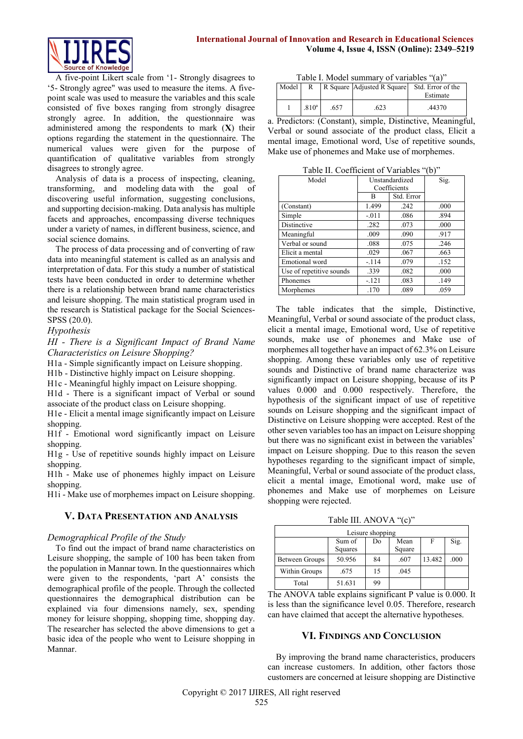

A five-point Likert scale from '1- Strongly disagrees to '5- Strongly agree" was used to measure the items. A fivepoint scale was used to measure the variables and this scale consisted of five boxes ranging from strongly disagree strongly agree. In addition, the questionnaire was administered among the respondents to mark (**X**) their options regarding the statement in the questionnaire. The numerical values were given for the purpose of quantification of qualitative variables from strongly disagrees to strongly agree.

Analysis of data is a process of inspecting, cleaning, transforming, and modeling [data](http://en.wikipedia.org/wiki/Data) with the goal of discovering useful [information,](http://en.wikipedia.org/wiki/Information) suggesting conclusions, and supporting decision-making. Data analysis has multiple facets and approaches, encompassing diverse techniques under a variety of names, in different business, science, and social science domains.

The process of data processing and of converting of raw data into meaningful statement is called as an analysis and interpretation of data. For this study a number of statistical tests have been conducted in order to determine whether there is a relationship between brand name characteristics and leisure shopping. The main statistical program used in the research is Statistical package for the Social Sciences-SPSS (20.0).

*Hypothesis*

*HI - There is a Significant Impact of Brand Name Characteristics on Leisure Shopping?*

H1a - Simple significantly impact on Leisure shopping.

H1b - Distinctive highly impact on Leisure shopping.

H1c - Meaningful highly impact on Leisure shopping.

H1d - There is a significant impact of Verbal or sound associate of the product class on Leisure shopping.

H1e - Elicit a mental image significantly impact on Leisure shopping.

H1f - Emotional word significantly impact on Leisure shopping.

H1g - Use of repetitive sounds highly impact on Leisure shopping.

H1h - Make use of phonemes highly impact on Leisure shopping.

H1i - Make use of morphemes impact on Leisure shopping.

# **V. DATA PRESENTATION AND ANALYSIS**

# *Demographical Profile of the Study*

To find out the impact of brand name characteristics on Leisure shopping, the sample of 100 has been taken from the population in Mannar town. In the questionnaires which were given to the respondents, 'part A' consists the demographical profile of the people. Through the collected questionnaires the demographical distribution can be explained via four dimensions namely, sex, spending money for leisure shopping, shopping time, shopping day. The researcher has selected the above dimensions to get a basic idea of the people who went to Leisure shopping in Mannar.

| Table I. Model summary of variables "(a)" |  |
|-------------------------------------------|--|
|-------------------------------------------|--|

| Model | R                 |      | R Square Adjusted R Square | Std. Error of the |
|-------|-------------------|------|----------------------------|-------------------|
|       |                   |      |                            | Estimate          |
|       | .810 <sup>a</sup> | .657 | 623                        | 44370             |

a. Predictors: (Constant), simple, Distinctive, Meaningful, Verbal or sound associate of the product class, Elicit a mental image, Emotional word, Use of repetitive sounds, Make use of phonemes and Make use of morphemes.

Table II. Coefficient of Variables "(b)"

| Model                    | Unstandardized<br>Coefficients |            | Sig. |
|--------------------------|--------------------------------|------------|------|
|                          | B                              | Std. Error |      |
| (Constant)               | 1.499                          | .242       | .000 |
| Simple                   | $-.011$                        | .086       | .894 |
| <b>Distinctive</b>       | .282                           | .073       | .000 |
| Meaningful               | .009                           | .090       | .917 |
| Verbal or sound          | .088                           | .075       | .246 |
| Elicit a mental          | .029                           | .067       | .663 |
| Emotional word           | $-.114$                        | .079       | .152 |
| Use of repetitive sounds | .339                           | .082       | .000 |
| Phonemes                 | $-121$                         | .083       | .149 |
| Morphemes                | .170                           | .089       | .059 |

The table indicates that the simple, Distinctive, Meaningful, Verbal or sound associate of the product class, elicit a mental image, Emotional word, Use of repetitive sounds, make use of phonemes and Make use of morphemes all together have an impact of 62.3% on Leisure shopping. Among these variables only use of repetitive sounds and Distinctive of brand name characterize was significantly impact on Leisure shopping, because of its P values 0.000 and 0.000 respectively. Therefore, the hypothesis of the significant impact of use of repetitive sounds on Leisure shopping and the significant impact of Distinctive on Leisure shopping were accepted. Rest of the other seven variables too has an impact on Leisure shopping but there was no significant exist in between the variables' impact on Leisure shopping. Due to this reason the seven hypotheses regarding to the significant impact of simple, Meaningful, Verbal or sound associate of the product class, elicit a mental image, Emotional word, make use of phonemes and Make use of morphemes on Leisure shopping were rejected.

Table III. ANOVA "(c)"

| Leisure shopping |         |    |        |        |      |  |
|------------------|---------|----|--------|--------|------|--|
|                  | Sum of  | Do | Mean   | F      | Sig. |  |
|                  | Squares |    | Square |        |      |  |
| Between Groups   | 50.956  | 84 | .607   | 13.482 | .000 |  |
| Within Groups    | .675    | 15 | .045   |        |      |  |
| Total            | 51.631  | 99 |        |        |      |  |

The ANOVA table explains significant P value is 0.000. It is less than the significance level 0.05. Therefore, research can have claimed that accept the alternative hypotheses.

# **VI. FINDINGS AND CONCLUSION**

By improving the brand name characteristics, producers can increase customers. In addition, other factors those customers are concerned at leisure shopping are Distinctive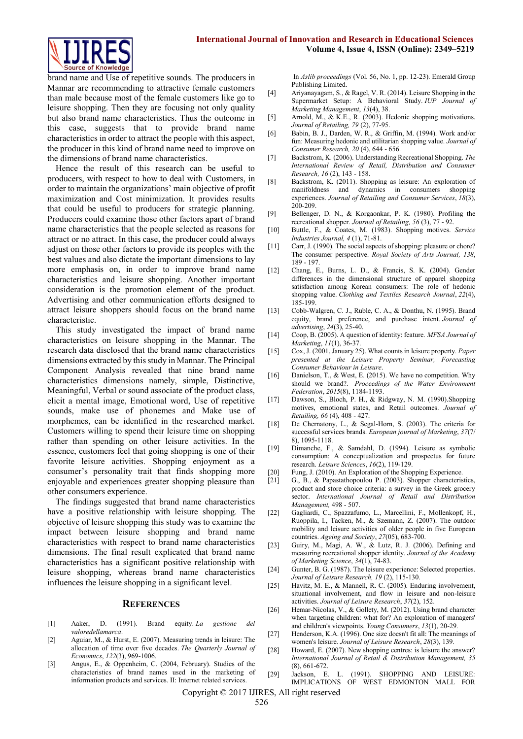

brand name and Use of repetitive sounds. The producers in Mannar are recommending to attractive female customers than male because most of the female customers like go to leisure shopping. Then they are focusing not only quality but also brand name characteristics. Thus the outcome in this case, suggests that to provide brand name characteristics in order to attract the people with this aspect, the producer in this kind of brand name need to improve on the dimensions of brand name characteristics.

Hence the result of this research can be useful to producers, with respect to how to deal with Customers, in order to maintain the organizations' main objective of profit maximization and Cost minimization. It provides results that could be useful to producers for strategic planning. Producers could examine those other factors apart of brand name characteristics that the people selected as reasons for attract or no attract. In this case, the producer could always adjust on those other factors to provide its peoples with the best values and also dictate the important dimensions to lay more emphasis on, in order to improve brand name characteristics and leisure shopping. Another important consideration is the promotion element of the product. Advertising and other communication efforts designed to attract leisure shoppers should focus on the brand name characteristic.

This study investigated the impact of brand name characteristics on leisure shopping in the Mannar. The research data disclosed that the brand name characteristics dimensions extracted by this study in Mannar. The Principal Component Analysis revealed that nine brand name characteristics dimensions namely, simple, Distinctive, Meaningful, Verbal or sound associate of the product class, elicit a mental image, Emotional word, Use of repetitive sounds, make use of phonemes and Make use of morphemes, can be identified in the researched market. Customers willing to spend their leisure time on shopping rather than spending on other leisure activities. In the essence, customers feel that going shopping is one of their favorite leisure activities. Shopping enjoyment as a consumer's personality trait that finds shopping more enjoyable and experiences greater shopping pleasure than other consumers experience.

The findings suggested that brand name characteristics have a positive relationship with leisure shopping. The objective of leisure shopping this study was to examine the impact between leisure shopping and brand name characteristics with respect to brand name characteristics dimensions. The final result explicated that brand name characteristics has a significant positive relationship with leisure shopping, whereas brand name characteristics influences the leisure shopping in a significant level.

#### **REFERENCES**

- [1] Aaker, D. (1991). Brand equity. *La gestione del valoredellamarca*.
- [2] Aguiar, M., & Hurst, E. (2007). Measuring trends in leisure: The allocation of time over five decades. *The Quarterly Journal of Economics*, *122*(3), 969-1006.
- [3] Angus, E., & Oppenheim, C. (2004, February). Studies of the characteristics of brand names used in the marketing of information products and services. II: Internet related services.

In *Aslib proceedings* (Vol. 56, No. 1, pp. 12-23). Emerald Group Publishing Limited.

- [4] Ariyanayagam, S., & Ragel, V. R. (2014). Leisure Shopping in the Supermarket Setup: A Behavioral Study. *IUP Journal of Marketing Management*, *13*(4), 38.
- [5] Arnold, M., & K.E., R. (2003). Hedonic shopping motivations. *Journal of Retailing, 79* (2), 77-95.
- [6] Babin, B. J., Darden, W. R., & Griffin, M. (1994). Work and/or fun: Measuring hedonic and utilitarian shopping value. *Journal of Consumer Research, 20* (4), 644 - 656.
- [7] Backstrom, K. (2006). Understanding Recreational Shopping. *The International Review of Retail, Distribution and Consumer Research, 16* (2), 143 - 158.
- [8] Backstrom, K. (2011). Shopping as leisure: An exploration of manifoldness and dynamics in consumers shopping experiences. *Journal of Retailing and Consumer Services*, *18*(3), 200-209.
- [9] Bellenger, D. N., & Korgaonkar, P. K. (1980). Profiling the recreational shopper. *Journal of Retailing, 56* (3), 77 - 92.
- [10] Buttle, F., & Coates, M. (1983). Shopping motives. *Service Industries Journal, 4* (1), 71-81.
- [11] Carr, J. (1990). The social aspects of shopping: pleasure or chore? The consumer perspective. *Royal Society of Arts Journal, 138*, 189 - 197.
- [12] Chang, E., Burns, L. D., & Francis, S. K. (2004). Gender differences in the dimensional structure of apparel shopping satisfaction among Korean consumers: The role of hedonic shopping value. *Clothing and Textiles Research Journal*, *22*(4), 185-199.
- [13] Cobb-Walgren, C. J., Ruble, C. A., & Donthu, N. (1995). Brand equity, brand preference, and purchase intent. *Journal of advertising*, *24*(3), 25-40.
- [14] Coop, B. (2005). A question of identity: feature. *MFSA Journal of Marketing*, *11*(1), 36-37.
- [15] Cox, J. (2001, January 25). What counts in leisure property. *Paper presented at the Leisure Property Seminar, Forecasting Consumer Behaviour in Leisure*.
- [16] Danielson, T., & West, E. (2015). We have no competition. Why should we brand?. *Proceedings of the Water Environment Federation*, *2015*(8), 1184-1193.
- [17] Dawson, S., Bloch, P. H., & Ridgway, N. M. (1990).Shopping motives, emotional states, and Retail outcomes. *Journal of Retailing, 66* (4), 408 - 427.
- [18] De Chernatony, L., & Segal-Horn, S. (2003). The criteria for successful services brands. *European journal of Marketing*, *37*(7/ 8), 1095-1118.
- [19] Dimanche, F., & Samdahl, D. (1994). Leisure as symbolic consumption: A conceptualization and prospectus for future research. *Leisure Sciences*, *16*(2), 119-129.
- [20] Fung, J. (2010). An Exploration of the Shopping Experience.
- [21] G., B., & Papastathopoulou P. (2003). Shopper characteristics, product and store choice criteria: a survey in the Greek grocery sector. *International Journal of Retail and Distribution Management,* 498 - 507.
- [22] Gagliardi, C., Spazzafumo, L., Marcellini, F., Mollenkopf, H., Ruoppila, I., Tacken, M., & Szemann, Z. (2007). The outdoor mobility and leisure activities of older people in five European countries. *Ageing and Society*, *27*(05), 683-700.
- [23] Guiry, M., Magi, A. W., & Lutz, R. J. (2006). Defining and measuring recreational shopper identity. *Journal of the Academy of Marketing Science*, *34*(1), 74-83.
- [24] Gunter, B. G. (1987). The leisure experience: Selected properties. *Journal of Leisure Research, 19* (2), 115-130.
- [25] Havitz, M. E., & Mannell, R. C. (2005). Enduring involvement, situational involvement, and flow in leisure and non-leisure activities. *Journal of Leisure Research*, *37*(2), 152.
- [26] Hemar-Nicolas, V., & Gollety, M. (2012). Using brand character when targeting children: what for? An exploration of managers' and children's viewpoints. *Young Consumers*, *13*(1), 20-29.
- [27] Henderson, K.A. (1996). One size doesn't fit all: The meanings of women's leisure. *Journal of Leisure Research*, *28*(3), 139.
- [28] Howard, E. (2007). New shopping centres: is leisure the answer? *International Journal of Retail & Distribution Management, 35*  (8), 661-672.
- [29] Jackson, E. L. (1991). SHOPPING AND LEISURE: IMPLICATIONS OF WEST EDMONTON MALL FOR

Copyright © 2017 IJIRES, All right reserved